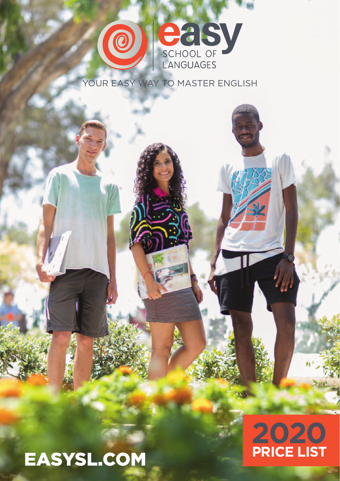

YOUR EASY WAY TO MASTER ENGLISH

# EASYSL.COM

# **2020 PRICE LIST**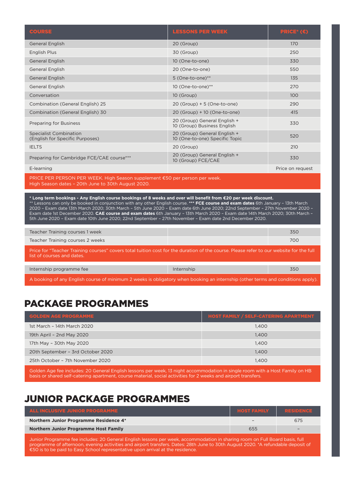| <b>COURSE</b>                                                              | <b>LESSONS PER WEEK</b>                                        | <b>PRICE*</b> $(\epsilon)$ |  |
|----------------------------------------------------------------------------|----------------------------------------------------------------|----------------------------|--|
| <b>General English</b>                                                     | 20 (Group)                                                     | 170                        |  |
| English Plus                                                               | 30 (Group)                                                     | 250                        |  |
| <b>General English</b>                                                     | 10 (One-to-one)                                                | 330                        |  |
| <b>General English</b>                                                     | 20 (One-to-one)                                                | 550                        |  |
| <b>General English</b>                                                     | 5 (One-to-one)**                                               | 135                        |  |
| General English                                                            | 10 (One-to-one)**                                              | 270                        |  |
| Conversation                                                               | 10 (Group)                                                     | 100                        |  |
| Combination (General English) 25                                           | 20 (Group) + 5 (One-to-one)                                    | 290                        |  |
| Combination (General English) 30                                           | 20 (Group) + 10 (One-to-one)                                   | 415                        |  |
| <b>Preparing for Business</b>                                              | 20 (Group) General English +<br>10 (Group) Business English    | 330                        |  |
| <b>Specialist Combination</b><br>(English for Specific Purposes)           | 20 (Group) General English +<br>10 (One-to-one) Specific Topic | 520                        |  |
| <b>IELTS</b>                                                               | 20 (Group)                                                     | 210                        |  |
| Preparing for Cambridge FCE/CAE course***                                  | 20 (Group) General English +<br>10 (Group) FCE/CAE             | 330                        |  |
| E-learning                                                                 |                                                                | Price on request           |  |
| PRICE PER PERSON PER WEEK. High Season supplement €50 per person per week. |                                                                |                            |  |

High Season dates – 20th June to 30th August 2020.

**\* Long term bookings - Any English course bookings of 8 weeks and over will benefit from €20 per week discount.** \*\* Lessons can only be booked in conjunction with any other English course. **\*\*\* FCE course and exam dates** 6th January – 13th March 2020 – Exam date 13th March 2020; 30th March – 5th June 2020 – Exam date 6th June 2020; 22nd September – 27th November 2020 – Exam date 1st December 2020. **CAE course and exam dates** 6th January – 13th March 2020 – Exam date 14th March 2020; 30th March – 5th June 2020 – Exam date 10th June 2020; 22nd September – 27th November – Exam date 2nd December 2020.

| Teacher Training courses 1 week                                                                                                                                       |            | 350 |  |
|-----------------------------------------------------------------------------------------------------------------------------------------------------------------------|------------|-----|--|
| Teacher Training courses 2 weeks                                                                                                                                      |            | 700 |  |
| Price for "Teacher Training courses" covers total tuition cost for the duration of the course. Please refer to our website for the full<br>list of courses and dates. |            |     |  |
|                                                                                                                                                                       |            |     |  |
| Internship programme fee                                                                                                                                              | Internship | 350 |  |
|                                                                                                                                                                       |            |     |  |

A booking of any English course of minimum 2 weeks is obligatory when booking an internship (other terms and conditions apply).

## PACKAGE PROGRAMMES

| 1st March - 14th March 2020<br>1,400       |
|--------------------------------------------|
| 19th April - 2nd May 2020<br>1,400         |
| 17th May - 30th May 2020<br>1,400          |
| 20th September - 3rd October 2020<br>1,400 |
| 25th October - 7th November 2020<br>1.400  |

Golden Age fee includes: 20 General English lessons per week, 13 night accommodation in single room with a Host Family on HB basis or shared self-catering apartment, course material, social activities for 2 weeks and airport transfers.

## JUNIOR PACKAGE PROGRAMMES

| ALL INCLUSIVE JUNIOR PROGRAMME                | <b>HOST FAMILY RESIDENCE</b> |                          |
|-----------------------------------------------|------------------------------|--------------------------|
| <b>Northern Junior Programme Residence 4*</b> |                              | 675                      |
| <b>Northern Junior Programme Host Family</b>  | 655                          | $\overline{\phantom{0}}$ |

Junior Programme fee includes: 20 General English lessons per week, accommodation in sharing room on Full Board basis, full programme of afternoon, evening activities and airport transfers. Dates: 28th June to 30th August 2020. \*A refundable deposit of €50 is to be paid to Easy School representative upon arrival at the residence.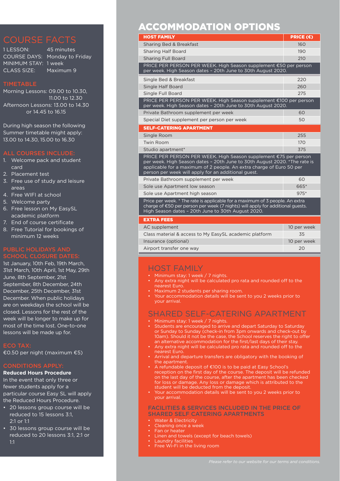MINIMUM STAY: 1 week CLASS SIZE: Maximum 9

1 LESSON: 45 minutes COURSE DAYS: Monday to Friday

Morning Lessons: 09.00 to 10.30, 11.00 to 12.30 Afternoon Lessons: 13.00 to 14.30 or 14.45 to 16.15

During high season the following Summer timetable might apply: 13.00 to 14.30, 15.00 to 16.30

### ALL COURSES INCLUDE:

- 1. Welcome pack and student card
- 2. Placement test
- 3. Free use of study and leisure areas
- 4. Free WIFI at school
- 5. Welcome party
- 6. Free lesson on My EasySL academic platform
- 7. End of course certificate
- 8. Free Tutorial for bookings of minimum 12 weeks

### PUBLIC HOLIDAYS AND SCHOOL CLOSURE DATES:

1st January, 10th Feb, 19th March, 31st March, 10th April, 1st May, 29th June, 8th September, 21st September, 8th December, 24th December, 25th December, 31st December. When public holidays are on weekdays the school will be closed. Lessons for the rest of the week will be longer to make up for most of the time lost. One-to-one lessons will be made up for.

€0.50 per night (maximum €5)

## CONDITIONS APPLY:

## **Reduced Hours Procedure** In the event that only three or

fewer students apply for a particular course Easy SL will apply the Reduced Hours Procedure.

- 20 lessons group course will be reduced to 15 lessons 3:1, 2:1 or 1:1
- 30 lessons group course will be reduced to 20 lessons 3:1, 2:1 or 1:1

## ACCOMMODATION OPTIONS

| <b>HOST FAMILY</b>                                                                                                                                                                                                                                                           | PRICE (€)   |  |
|------------------------------------------------------------------------------------------------------------------------------------------------------------------------------------------------------------------------------------------------------------------------------|-------------|--|
| Sharing Bed & Breakfast                                                                                                                                                                                                                                                      | 160         |  |
| <b>Sharing Half Board</b>                                                                                                                                                                                                                                                    | 190         |  |
| <b>Sharing Full Board</b>                                                                                                                                                                                                                                                    | 210         |  |
| PRICE PER PERSON PER WEEK. High Season supplement €50 per person<br>per week. High Season dates - 20th June to 30th August 2020.                                                                                                                                             |             |  |
| Single Bed & Breakfast                                                                                                                                                                                                                                                       | 220         |  |
| Single Half Board                                                                                                                                                                                                                                                            | 260         |  |
| Single Full Board                                                                                                                                                                                                                                                            | 275         |  |
| PRICE PER PERSON PER WEEK. High Season supplement €100 per person<br>per week. High Season dates - 20th June to 30th August 2020.                                                                                                                                            |             |  |
| Private Bathroom supplement per week                                                                                                                                                                                                                                         | 60          |  |
| Special Diet supplement per person per week                                                                                                                                                                                                                                  | 50          |  |
| <b>SELF-CATERING APARTMENT</b>                                                                                                                                                                                                                                               |             |  |
| Single Room                                                                                                                                                                                                                                                                  | 255         |  |
| Twin Room                                                                                                                                                                                                                                                                    | 170         |  |
| Studio apartment*                                                                                                                                                                                                                                                            | 375         |  |
| PRICE PER PERSON PER WEEK. High Season supplement €75 per person<br>per week. High Season dates - 20th June to 30th August 2020. *The rate is<br>applicable for a maximum of 2 people. An extra charge of Euro 50 per<br>person per week will apply for an additional quest. |             |  |
| Private Bathroom supplement per week                                                                                                                                                                                                                                         | 60          |  |
| Sole use Apartment low season                                                                                                                                                                                                                                                | 665*        |  |
| Sole use Apartment high season                                                                                                                                                                                                                                               | $975*$      |  |
| Price per week. * The rate is applicable for a maximum of 3 people. An extra<br>charge of €50 per person per week (7 nights) will apply for additional guests.<br>High Season dates - 20th June to 30th August 2020.                                                         |             |  |
| <b>EXTRA FEES</b>                                                                                                                                                                                                                                                            |             |  |
| AC supplement                                                                                                                                                                                                                                                                | 10 per week |  |

| AC supplement                                          | 10 per week |
|--------------------------------------------------------|-------------|
| Class material & access to My EasySL academic platform | 35          |
| Insurance (optional)                                   | 10 per week |
| Airport transfer one way                               | 20          |
|                                                        |             |

## HOST FAMILY

- Minimum stay: 1 week / 7 nights.
- Any extra night will be calculated pro rata and rounded off to the nearest Euro.
- Maximum 2 students per sharing room.
- Your accommodation details will be sent to you 2 weeks prior to your arrival.

## SHARED SELF-CATERING APARTMENT

- Minimum stay: 1 week / 7 nights.
- Students are encouraged to arrive and depart Saturday to Saturday or Sunday to Sunday (check-in from 3pm onwards and check-out by 10am). Should it not be the case, the School reserves the right to offer an alternative accommodation for the first/last days of their stay.
- Any extra night will be calculated pro rata and rounded off to the nearest Euro.
- Arrival and departure transfers are obligatory with the booking of the apartment.
- A refundable deposit of €100 is to be paid at Easy School's reception on the first day of the course. The deposit will be refunded on the last day of the course, after the apartment has been checked for loss or damage. Any loss or damage which is attributed to the student will be deducted from the deposit.
- Your accommodation details will be sent to you 2 weeks prior to your arrival.

### FACILITIES & SERVICES INCLUDED IN THE PRICE OF SHARED SELF CATERING APARTMENTS

- **Water & Electricity**
- Cleaning once a week
- Fan or heater
- Linen and towels (except for beach towels)
- Laundry facilities
- Free Wi-Fi in the living room